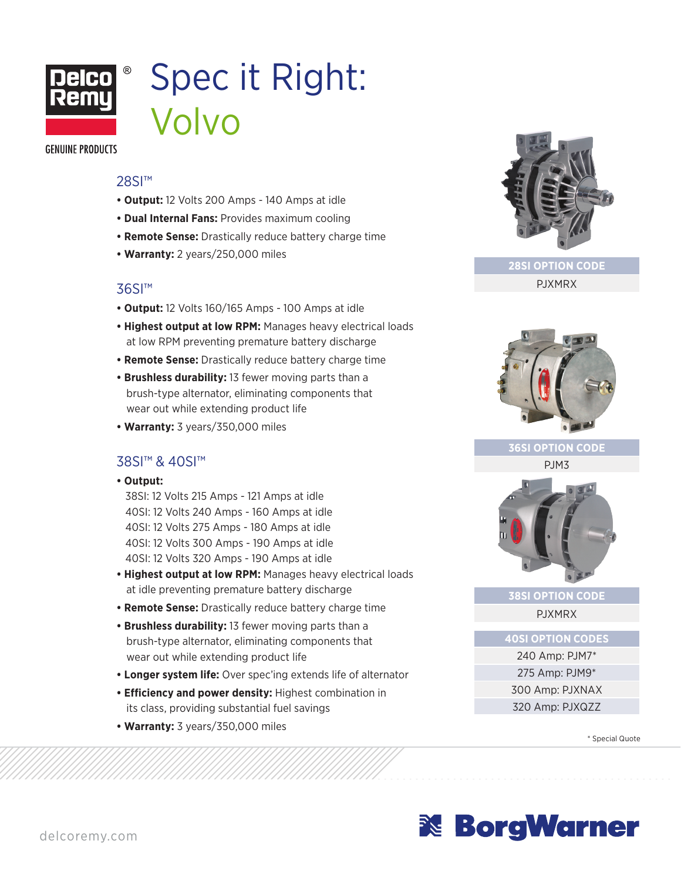

# Spec it Right: Volvo

**GENUINE PRODUCTS** 

### 28SI<sup>™</sup>

- **Output:** 12 Volts 200 Amps 140 Amps at idle
- **Dual Internal Fans:** Provides maximum cooling
- **Remote Sense:** Drastically reduce battery charge time
- **Warranty:** 2 years/250,000 miles

## 36SI™

- **Output:** 12 Volts 160/165 Amps 100 Amps at idle
- **Highest output at low RPM:** Manages heavy electrical loads at low RPM preventing premature battery discharge
- **Remote Sense:** Drastically reduce battery charge time
- **Brushless durability:** 13 fewer moving parts than a brush-type alternator, eliminating components that wear out while extending product life
- **Warranty:** 3 years/350,000 miles

## 38SI™ & 40SI™

**• Output:**

38SI: 12 Volts 215 Amps - 121 Amps at idle 40SI: 12 Volts 240 Amps - 160 Amps at idle 40SI: 12 Volts 275 Amps - 180 Amps at idle 40SI: 12 Volts 300 Amps - 190 Amps at idle 40SI: 12 Volts 320 Amps - 190 Amps at idle

- **Highest output at low RPM:** Manages heavy electrical loads at idle preventing premature battery discharge
- **Remote Sense:** Drastically reduce battery charge time
- **Brushless durability:** 13 fewer moving parts than a brush-type alternator, eliminating components that wear out while extending product life
- **Longer system life:** Over spec'ing extends life of alternator
- **Efficiency and power density:** Highest combination in its class, providing substantial fuel savings
- **Warranty:** 3 years/350,000 miles



**28SI OPTION CODE** PJXMRX



#### **36SI OPTION CODE**

PJM3



## **38SI OPTION CODE**

PJXMRX

**40SI OPTION CODES**

240 Amp: PJM7\* 275 Amp: PJM9\* 300 Amp: PJXNAX 320 Amp: PJXQZZ

\* Special Quote